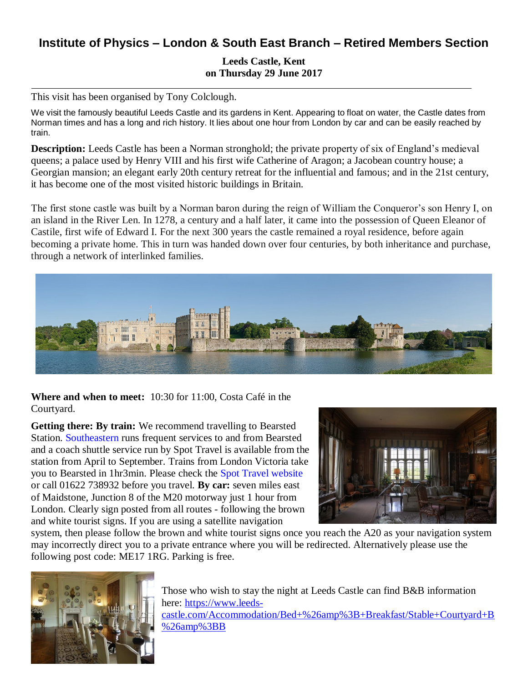## **Institute of Physics – London & South East Branch – Retired Members Section**

**Leeds Castle, Kent on Thursday 29 June 2017**

This visit has been organised by Tony Colclough.

We visit the famously beautiful Leeds Castle and its gardens in Kent. Appearing to float on water, the Castle dates from Norman times and has a long and rich history. It lies about one hour from London by car and can be easily reached by train.

**Description:** Leeds Castle has been a Norman stronghold; the private property of six of England's medieval queens; a palace used by Henry VIII and his first wife Catherine of Aragon; a Jacobean country house; a Georgian mansion; an elegant early 20th century retreat for the influential and famous; and in the 21st century, it has become one of the most visited historic buildings in Britain.

The first stone castle was built by a Norman baron during the reign of William the Conqueror's son Henry I, on an island in the River Len. In 1278, a century and a half later, it came into the possession of Queen Eleanor of Castile, first wife of Edward I. For the next 300 years the castle remained a royal residence, before again becoming a private home. This in turn was handed down over four centuries, by both inheritance and purchase, through a network of interlinked families.



**Where and when to meet:** 10:30 for 11:00, Costa Café in the Courtyard.

**Getting there: By train:** We recommend travelling to Bearsted Station. [Southeastern](https://www.leeds-castle.com/Visit/Leeds+Castle+by+Train) runs frequent services to and from Bearsted and a coach shuttle service run by Spot Travel is available from the station from April to September. Trains from London Victoria take you to Bearsted in 1hr3min. Please check the [Spot Travel website](http://www.spottravel.co.uk/leeds-castle/) or call 01622 738932 before you travel. **By car:** seven miles east of Maidstone, Junction 8 of the M20 motorway just 1 hour from London. Clearly sign posted from all routes - following the brown and white tourist signs. If you are using a satellite navigation



system, then please follow the brown and white tourist signs once you reach the A20 as your navigation system may incorrectly direct you to a private entrance where you will be redirected. Alternatively please use the following post code: ME17 1RG. Parking is free.



Those who wish to stay the night at Leeds Castle can find B&B information here: [https://www.leeds](https://www.leeds-castle.com/Accommodation/Bed+%26amp%3B+Breakfast/Stable+Courtyard+B%26amp%3BB)[castle.com/Accommodation/Bed+%26amp%3B+Breakfast/Stable+Courtyard+B](https://www.leeds-castle.com/Accommodation/Bed+%26amp%3B+Breakfast/Stable+Courtyard+B%26amp%3BB) [%26amp%3BB](https://www.leeds-castle.com/Accommodation/Bed+%26amp%3B+Breakfast/Stable+Courtyard+B%26amp%3BB)